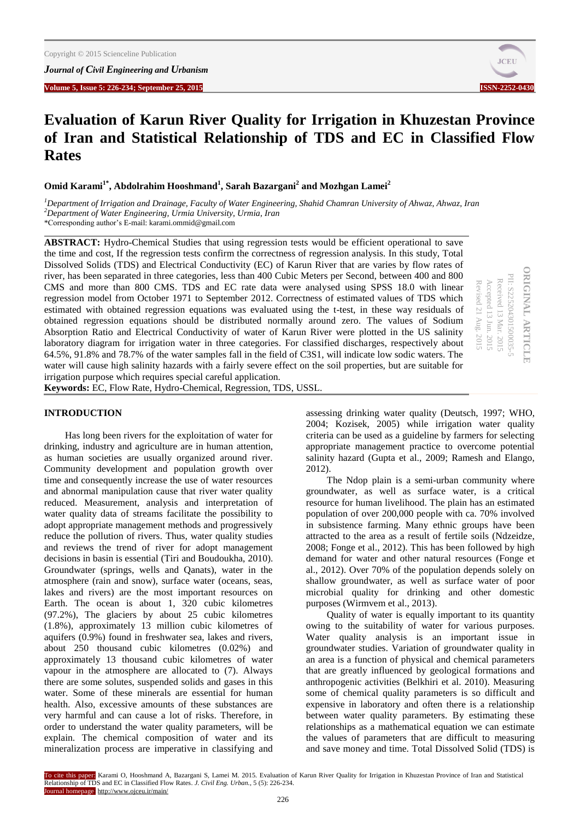

# **Evaluation of Karun River Quality for Irrigation in Khuzestan Province of Iran and Statistical Relationship of TDS and EC in Classified Flow Rates**

**Omid Karami1\*, Abdolrahim Hooshmand<sup>1</sup> , Sarah Bazargani<sup>2</sup> and Mozhgan Lamei<sup>2</sup>**

*<sup>1</sup>Department of Irrigation and Drainage, Faculty of Water Engineering, Shahid Chamran University of Ahwaz, Ahwaz, Iran <sup>2</sup>Department of Water Engineering, Urmia University, Urmia, Iran* \*Corresponding author's E-mail: karami.ommid@gmail.com

**ABSTRACT:** Hydro-Chemical Studies that using regression tests would be efficient operational to save the time and cost, If the regression tests confirm the correctness of regression analysis. In this study, Total Dissolved Solids (TDS) and Electrical Conductivity (EC) of Karun River that are varies by flow rates of river, has been separated in three categories, less than 400 Cubic Meters per Second, between 400 and 800 CMS and more than 800 CMS. TDS and EC rate data were analysed using SPSS 18.0 with linear regression model from October 1971 to September 2012. Correctness of estimated values of TDS which estimated with obtained regression equations was evaluated using the t-test, in these way residuals of obtained regression equations should be distributed normally around zero. The values of Sodium Absorption Ratio and Electrical Conductivity of water of Karun River were plotted in the US salinity laboratory diagram for irrigation water in three categories. For classified discharges, respectively about 64.5%, 91.8% and 78.7% of the water samples fall in the field of C3S1, will indicate low sodic waters. The water will cause high salinity hazards with a fairly severe effect on the soil properties, but are suitable for irrigation purpose which requires special careful application.

| PII: S225204301500035-5<br>Received 13 Mar. 2015<br>Accepted 13 Jun. 2015<br>Revised 21 Aug. 2015<br>HOIN |
|-----------------------------------------------------------------------------------------------------------|
|                                                                                                           |

**Keywords:** EC, Flow Rate, Hydro-Chemical, Regression, TDS, USSL.

## **INTRODUCTION**

Has long been rivers for the exploitation of water for drinking, industry and agriculture are in human attention, as human societies are usually organized around river. Community development and population growth over time and consequently increase the use of water resources and abnormal manipulation cause that river water quality reduced. Measurement, analysis and interpretation of water quality data of streams facilitate the possibility to adopt appropriate management methods and progressively reduce the pollution of rivers. Thus, water quality studies and reviews the trend of river for adopt management decisions in basin is essential (Tiri and Boudoukha, 2010). Groundwater (springs, wells and Qanats), water in the atmosphere (rain and snow), surface water (oceans, seas, lakes and rivers) are the most important resources on Earth. The ocean is about 1, 320 cubic kilometres (97.2%), The glaciers by about 25 cubic kilometres (1.8%), approximately 13 million cubic kilometres of aquifers (0.9%) found in freshwater sea, lakes and rivers, about 250 thousand cubic kilometres (0.02%) and approximately 13 thousand cubic kilometres of water vapour in the atmosphere are allocated to (7). Always there are some solutes, suspended solids and gases in this water. Some of these minerals are essential for human health. Also, excessive amounts of these substances are very harmful and can cause a lot of risks. Therefore, in order to understand the water quality parameters, will be explain. The chemical composition of water and its mineralization process are imperative in classifying and assessing drinking water quality (Deutsch, 1997; WHO, 2004; Kozisek, 2005) while irrigation water quality criteria can be used as a guideline by farmers for selecting appropriate management practice to overcome potential salinity hazard (Gupta et al., 2009; Ramesh and Elango, 2012).

The Ndop plain is a semi-urban community where groundwater, as well as surface water, is a critical resource for human livelihood. The plain has an estimated population of over 200,000 people with ca. 70% involved in subsistence farming. Many ethnic groups have been attracted to the area as a result of fertile soils (Ndzeidze, 2008; Fonge et al., 2012). This has been followed by high demand for water and other natural resources (Fonge et al., 2012). Over 70% of the population depends solely on shallow groundwater, as well as surface water of poor microbial quality for drinking and other domestic purposes (Wirmvem et al., 2013).

Quality of water is equally important to its quantity owing to the suitability of water for various purposes. Water quality analysis is an important issue in groundwater studies. Variation of groundwater quality in an area is a function of physical and chemical parameters that are greatly influenced by geological formations and anthropogenic activities (Belkhiri et al. 2010). Measuring some of chemical quality parameters is so difficult and expensive in laboratory and often there is a relationship between water quality parameters. By estimating these relationships as a mathematical equation we can estimate the values of parameters that are difficult to measuring and save money and time. Total Dissolved Solid (TDS) is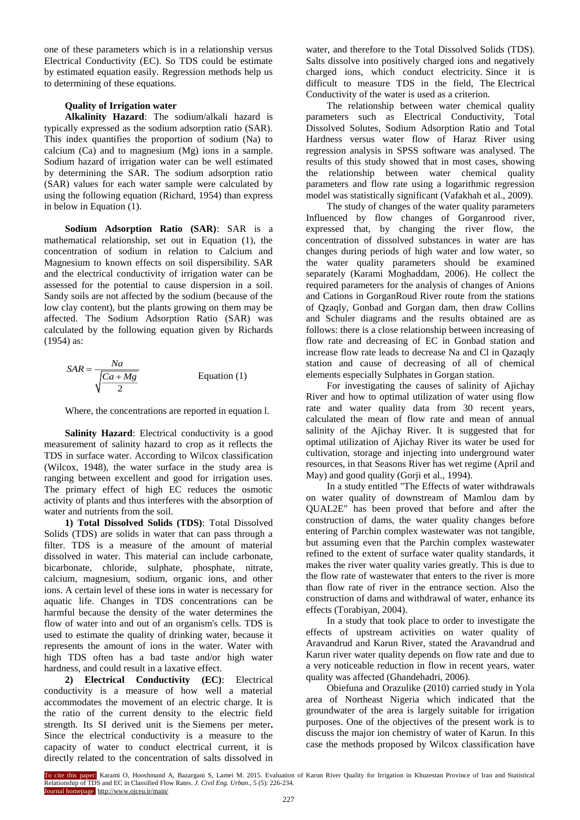one of these parameters which is in a relationship versus Electrical Conductivity (EC). So TDS could be estimate by estimated equation easily. Regression methods help us to determining of these equations.

## **Quality of Irrigation water**

**Alkalinity Hazard**: The sodium/alkali hazard is typically expressed as the sodium adsorption ratio (SAR). This index quantifies the proportion of sodium (Na) to calcium (Ca) and to magnesium (Mg) ions in a sample. Sodium hazard of irrigation water can be well estimated by determining the SAR. The sodium adsorption ratio (SAR) values for each water sample were calculated by using the following equation (Richard, 1954) than express in below in Equation (1).

**Sodium Adsorption Ratio (SAR)**: SAR is a mathematical relationship, set out in Equation (1), the concentration of sodium in relation to Calcium and Magnesium to known effects on soil dispersibility. SAR and the electrical conductivity of irrigation water can be assessed for the potential to cause dispersion in a soil. Sandy soils are not affected by the sodium (because of the low clay content), but the plants growing on them may be affected. The Sodium Adsorption Ratio (SAR) was calculated by the following equation given by Richards (1954) as:

$$
SAR = \frac{Na}{\sqrt{\frac{Ca + Mg}{2}}}
$$
 Equation (1)

Where, the concentrations are reported in equation l.

**Salinity Hazard:** Electrical conductivity is a good measurement of salinity hazard to crop as it reflects the TDS in surface water. According to Wilcox classification (Wilcox, 1948), the water surface in the study area is ranging between excellent and good for irrigation uses. The primary effect of high EC reduces the osmotic activity of plants and thus interferes with the absorption of water and nutrients from the soil.

**1) Total Dissolved Solids (TDS)**: Total Dissolved Solids (TDS) are solids in water that can pass through a filter. TDS is a measure of the amount of material dissolved in water. This material can include carbonate, bicarbonate, chloride, sulphate, phosphate, nitrate, calcium, magnesium, sodium, organic ions, and other ions. A certain level of these ions in water is necessary for aquatic life. Changes in TDS concentrations can be harmful because the density of the water determines the flow of water into and out of an organism's cells. TDS is used to estimate the quality of drinking water, because it represents the amount of ions in the water. Water with high TDS often has a bad taste and/or high water hardness, and could result in a laxative effect.

**2) Electrical Conductivity (EC)**: Electrical conductivity is a measure of how well a material accommodates the movement of an electric charge. It is the ratio of the current density to the electric field strength. Its SI derived unit is the Siemens per meter**.**  Since the electrical conductivity is a measure to the capacity of water to conduct electrical current, it is directly related to the concentration of salts dissolved in

water, and therefore to the Total Dissolved Solids (TDS). Salts dissolve into positively charged ions and negatively charged ions, which conduct electricity. Since it is difficult to measure TDS in the field, The Electrical Conductivity of the water is used as a criterion.

The relationship between water chemical quality parameters such as Electrical Conductivity, Total Dissolved Solutes, Sodium Adsorption Ratio and Total Hardness versus water flow of Haraz River using regression analysis in SPSS software was analysed. The results of this study showed that in most cases, showing the relationship between water chemical quality parameters and flow rate using a logarithmic regression model was statistically significant (Vafakhah et al., 2009).

The study of changes of the water quality parameters Influenced by flow changes of Gorganrood river, expressed that, by changing the river flow, the concentration of dissolved substances in water are has changes during periods of high water and low water, so the water quality parameters should be examined separately (Karami Moghaddam, 2006). He collect the required parameters for the analysis of changes of Anions and Cations in GorganRoud River route from the stations of Qzaqly, Gonbad and Gorgan dam, then draw Collins and Schuler diagrams and the results obtained are as follows: there is a close relationship between increasing of flow rate and decreasing of EC in Gonbad station and increase flow rate leads to decrease Na and Cl in Qazaqly station and cause of decreasing of all of chemical elements especially Sulphates in Gorgan station.

For investigating the causes of salinity of Ajichay River and how to optimal utilization of water using flow rate and water quality data from 30 recent years, calculated the mean of flow rate and mean of annual salinity of the Ajichay River. It is suggested that for optimal utilization of Ajichay River its water be used for cultivation, storage and injecting into underground water resources, in that Seasons River has wet regime (April and May) and good quality (Gorii et al., 1994).

In a study entitled "The Effects of water withdrawals on water quality of downstream of Mamlou dam by QUAL2E" has been proved that before and after the construction of dams, the water quality changes before entering of Parchin complex wastewater was not tangible, but assuming even that the Parchin complex wastewater refined to the extent of surface water quality standards, it makes the river water quality varies greatly. This is due to the flow rate of wastewater that enters to the river is more than flow rate of river in the entrance section. Also the construction of dams and withdrawal of water, enhance its effects (Torabiyan, 2004).

In a study that took place to order to investigate the effects of upstream activities on water quality of Aravandrud and Karun River, stated the Aravandrud and Karun river water quality depends on flow rate and due to a very noticeable reduction in flow in recent years, water quality was affected (Ghandehadri, 2006).

Obiefuna and Orazulike (2010) carried study in Yola area of Northeast Nigeria which indicated that the groundwater of the area is largely suitable for irrigation purposes. One of the objectives of the present work is to discuss the major ion chemistry of water of Karun. In this case the methods proposed by Wilcox classification have

To cite this paper: Karami O, Hooshmand A, Bazargani S, Lamei M. 2015. Evaluation of Karun River Quality for Irrigation in Khuzestan Province of Iran and Statistical Relationship of TDS and EC in Classified Flow Rates. *J. Civil Eng. Urban.,* 5 (5): 226-234. Journal homepage: http://www.ojceu.ir/main/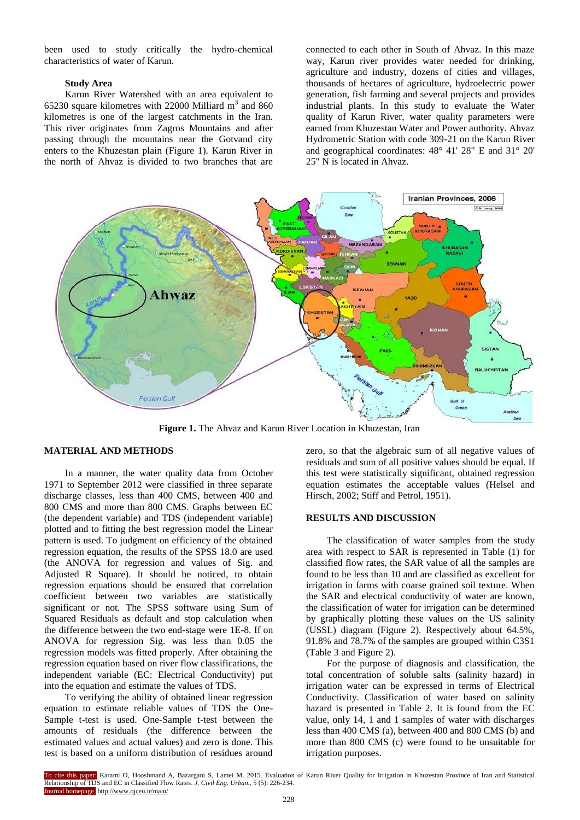been used to study critically the hydro-chemical characteristics of water of Karun.

#### **Study Area**

Karun River Watershed with an area equivalent to 65230 square kilometres with 22000 Milliard  $\text{m}^3$  and 860 kilometres is one of the largest catchments in the Iran. This river originates from Zagros Mountains and after passing through the mountains near the Gotvand city enters to the Khuzestan plain (Figure 1). Karun River in the north of Ahvaz is divided to two branches that are

connected to each other in South of Ahvaz. In this maze way, Karun river provides water needed for drinking, agriculture and industry, dozens of cities and villages, thousands of hectares of agriculture, hydroelectric power generation, fish farming and several projects and provides industrial plants. In this study to evaluate the Water quality of Karun River, water quality parameters were earned from Khuzestan Water and Power authority. Ahvaz Hydrometric Station with code 309-21 on the Karun River and geographical coordinates: 48° 41' 28" E and 31° 20' 25" N is located in Ahvaz.



**Figure 1.** The Ahvaz and Karun River Location in Khuzestan, Iran

### **MATERIAL AND METHODS**

In a manner, the water quality data from October 1971 to September 2012 were classified in three separate discharge classes, less than 400 CMS, between 400 and 800 CMS and more than 800 CMS. Graphs between EC (the dependent variable) and TDS (independent variable) plotted and to fitting the best regression model the Linear pattern is used. To judgment on efficiency of the obtained regression equation, the results of the SPSS 18.0 are used (the ANOVA for regression and values of Sig. and Adjusted R Square). It should be noticed, to obtain regression equations should be ensured that correlation coefficient between two variables are statistically significant or not. The SPSS software using Sum of Squared Residuals as default and stop calculation when the difference between the two end-stage were 1E-8. If on ANOVA for regression Sig. was less than 0.05 the regression models was fitted properly. After obtaining the regression equation based on river flow classifications, the independent variable (EC: Electrical Conductivity) put into the equation and estimate the values of TDS.

To verifying the ability of obtained linear regression equation to estimate reliable values of TDS the One-Sample t-test is used. One-Sample t-test between the amounts of residuals (the difference between the estimated values and actual values) and zero is done. This test is based on a uniform distribution of residues around

zero, so that the algebraic sum of all negative values of residuals and sum of all positive values should be equal. If this test were statistically significant, obtained regression equation estimates the acceptable values (Helsel and Hirsch, 2002; Stiff and Petrol, 1951).

## **RESULTS AND DISCUSSION**

The classification of water samples from the study area with respect to SAR is represented in Table (1) for classified flow rates, the SAR value of all the samples are found to be less than 10 and are classified as excellent for irrigation in farms with coarse grained soil texture. When the SAR and electrical conductivity of water are known, the classification of water for irrigation can be determined by graphically plotting these values on the US salinity (USSL) diagram (Figure 2). Respectively about 64.5%, 91.8% and 78.7% of the samples are grouped within C3S1 (Table 3 and Figure 2).

For the purpose of diagnosis and classification, the total concentration of soluble salts (salinity hazard) in irrigation water can be expressed in terms of Electrical Conductivity. Classification of water based on salinity hazard is presented in Table 2. It is found from the EC value, only 14, 1 and 1 samples of water with discharges less than 400 CMS (a), between 400 and 800 CMS (b) and more than 800 CMS (c) were found to be unsuitable for irrigation purposes.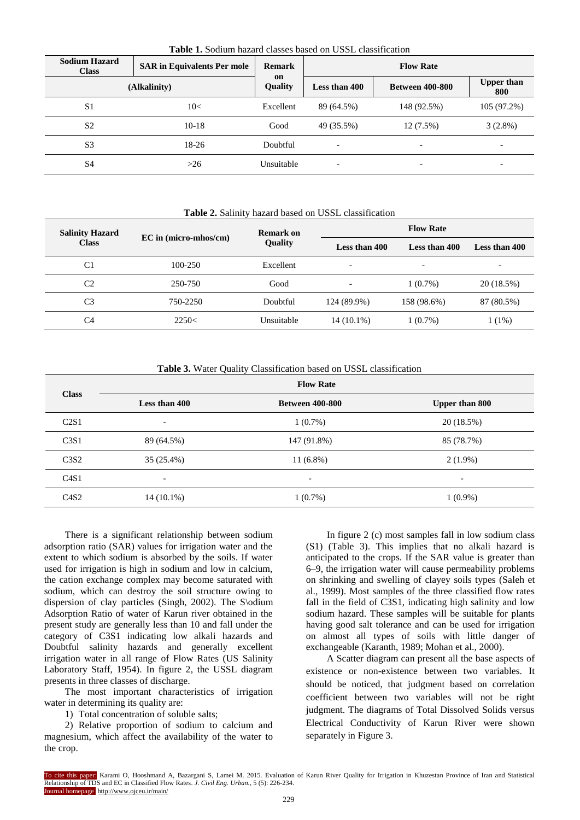| <b>Sodium Hazard</b><br><b>Class</b> | <b>SAR</b> in Equivalents Per mole | <b>Remark</b>        |               |                          |                          |
|--------------------------------------|------------------------------------|----------------------|---------------|--------------------------|--------------------------|
|                                      | (Alkalinity)                       | on<br><b>Quality</b> | Less than 400 | <b>Between 400-800</b>   | <b>Upper than</b><br>800 |
| S <sub>1</sub>                       | 10<                                | Excellent            | 89 (64.5%)    | 148 (92.5%)              | 105 (97.2%)              |
| S <sub>2</sub>                       | $10-18$                            | Good                 | 49 (35.5%)    | $12(7.5\%)$              | $3(2.8\%)$               |
| S <sub>3</sub>                       | 18-26                              | Doubtful             |               |                          |                          |
| S <sub>4</sub>                       | >26                                | Unsuitable           |               | $\overline{\phantom{0}}$ | $\overline{\phantom{0}}$ |

**Table 1.** Sodium hazard classes based on USSL classification

#### **Table 2.** Salinity hazard based on USSL classification

| <b>Salinity Hazard</b> |                         | <b>Remark on</b> | <b>Flow Rate</b>               |             |               |  |
|------------------------|-------------------------|------------------|--------------------------------|-------------|---------------|--|
| <b>Class</b>           | $EC$ in (micro-mhos/cm) | <b>Quality</b>   | Less than 400<br>Less than 400 |             | Less than 400 |  |
| C <sub>1</sub>         | 100-250                 | Excellent        | $\overline{\phantom{0}}$       | -           | -             |  |
| C <sub>2</sub>         | 250-750                 | Good             | $\overline{\phantom{0}}$       | $1(0.7\%)$  | 20 (18.5%)    |  |
| C <sub>3</sub>         | 750-2250                | Doubtful         | 124 (89.9%)                    | 158 (98.6%) | 87 (80.5%)    |  |
| C4                     | 2250<                   | Unsuitable       | 14 (10.1%)                     | $1(0.7\%)$  | $1(1\%)$      |  |

## **Table 3.** Water Quality Classification based on USSL classification

| <b>Class</b>                  |                          | <b>Flow Rate</b>         |                          |  |  |  |
|-------------------------------|--------------------------|--------------------------|--------------------------|--|--|--|
|                               | Less than 400            | <b>Between 400-800</b>   | <b>Upper than 800</b>    |  |  |  |
| C2S1                          | $\overline{\phantom{a}}$ | $1(0.7\%)$               | 20 (18.5%)               |  |  |  |
| C <sub>3</sub> S1             | 89 (64.5%)               | 147 (91.8%)              | 85 (78.7%)               |  |  |  |
| C <sub>3</sub> S <sub>2</sub> | 35(25.4%)                | $11(6.8\%)$              | $2(1.9\%)$               |  |  |  |
| C4S1                          | $\overline{\phantom{a}}$ | $\overline{\phantom{a}}$ | $\overline{\phantom{a}}$ |  |  |  |
| C4S2                          | $14(10.1\%)$             | $1(0.7\%)$               | $1(0.9\%)$               |  |  |  |

There is a significant relationship between sodium adsorption ratio (SAR) values for irrigation water and the extent to which sodium is absorbed by the soils. If water used for irrigation is high in sodium and low in calcium, the cation exchange complex may become saturated with sodium, which can destroy the soil structure owing to dispersion of clay particles (Singh, 2002). The S\odium Adsorption Ratio of water of Karun river obtained in the present study are generally less than 10 and fall under the category of C3S1 indicating low alkali hazards and Doubtful salinity hazards and generally excellent irrigation water in all range of Flow Rates (US Salinity Laboratory Staff, 1954). In figure 2, the USSL diagram presents in three classes of discharge.

The most important characteristics of irrigation water in determining its quality are:

1) Total concentration of soluble salts;

2) Relative proportion of sodium to calcium and magnesium, which affect the availability of the water to the crop.

In figure 2 (c) most samples fall in low sodium class (S1) (Table 3). This implies that no alkali hazard is anticipated to the crops. If the SAR value is greater than 6–9, the irrigation water will cause permeability problems on shrinking and swelling of clayey soils types (Saleh et al., 1999). Most samples of the three classified flow rates fall in the field of C3S1, indicating high salinity and low sodium hazard. These samples will be suitable for plants having good salt tolerance and can be used for irrigation on almost all types of soils with little danger of exchangeable (Karanth, 1989; Mohan et al., 2000).

A Scatter diagram can present all the base aspects of existence or non-existence between two variables. It should be noticed, that judgment based on correlation coefficient between two variables will not be right judgment. The diagrams of Total Dissolved Solids versus Electrical Conductivity of Karun River were shown separately in Figure 3.

To cite this paper: Karami O, Hooshmand A, Bazargani S, Lamei M. 2015. Evaluation of Karun River Quality for Irrigation in Khuzestan Province of Iran and Statistical Relationship of TDS and EC in Classified Flow Rates. *J. Civil Eng. Urban.,* 5 (5): 226-234. Journal homepage: http://www.ojceu.ir/main/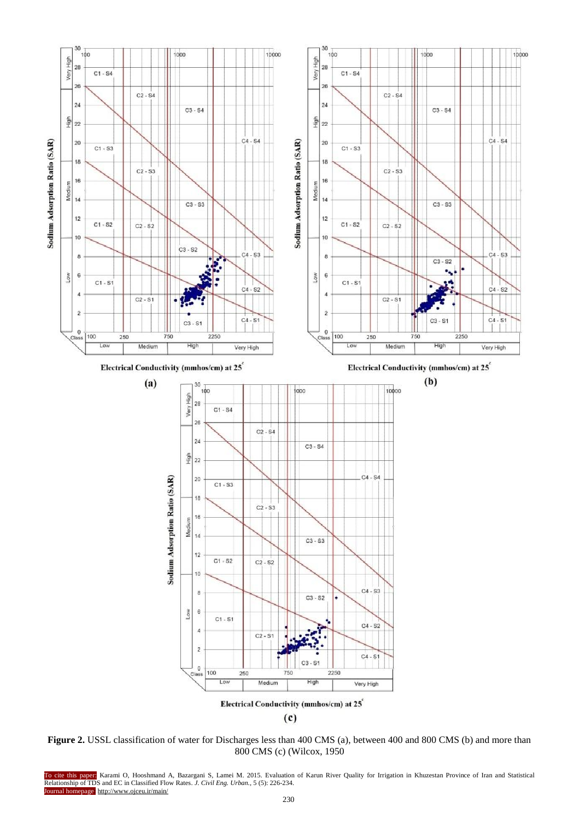

**Figure 2.** USSL classification of water for Discharges less than 400 CMS (a), between 400 and 800 CMS (b) and more than 800 CMS (c) (Wilcox, 1950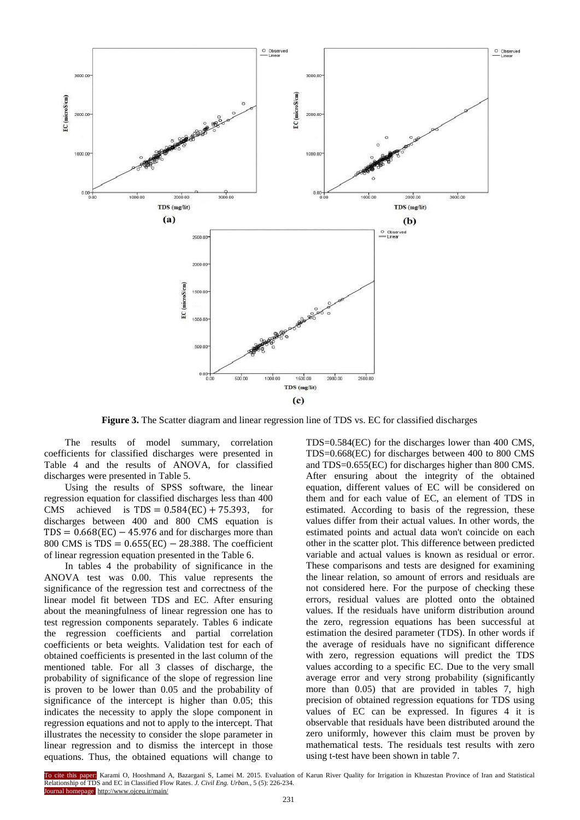

**Figure 3.** The Scatter diagram and linear regression line of TDS vs. EC for classified discharges

The results of model summary, correlation coefficients for classified discharges were presented in Table 4 and the results of ANOVA, for classified discharges were presented in Table 5.

Using the results of SPSS software, the linear regression equation for classified discharges less than 400 CMS achieved is  $TDS = 0.584(EC) + 75.393$ , for discharges between 400 and 800 CMS equation is  $TDS = 0.668(EC) - 45.976$  and for discharges more than 800 CMS is  $TDS = 0.655(EC) - 28.388$ . The coefficient of linear regression equation presented in the Table 6.

In tables 4 the probability of significance in the ANOVA test was  $0.00$ . This value represents the significance of the regression test and correctness of the linear model fit between TDS and EC. After ensuring about the meaningfulness of linear regression one has to test regression components separately. Tables 6 indicate the regression coefficients and partial correlation coefficients or beta weights. Validation test for each of obtained coefficients is presented in the last column of the mentioned table. For all 3 classes of discharge, the probability of significance of the slope of regression line is proven to be lower than 0.05 and the probability of significance of the intercept is higher than 0.05; this indicates the necessity to apply the slope component in regression equations and not to apply to the intercept. That illustrates the necessity to consider the slope parameter in linear regression and to dismiss the intercept in those equations. Thus, the obtained equations will change to

TDS=0.584(EC) for the discharges lower than 400 CMS, TDS=0.668(EC) for discharges between 400 to 800 CMS and TDS=0.655(EC) for discharges higher than 800 CMS. After ensuring about the integrity of the obtained equation, different values of EC will be considered on them and for each value of EC, an element of TDS in estimated. According to basis of the regression, these values differ from their actual values. In other words, the estimated points and actual data won't coincide on each other in the scatter plot. This difference between predicted variable and actual values is known as residual or error. These comparisons and tests are designed for examining the linear relation, so amount of errors and residuals are not considered here. For the purpose of checking these errors, residual values are plotted onto the obtained values. If the residuals have uniform distribution around the zero, regression equations has been successful at estimation the desired parameter (TDS). In other words if the average of residuals have no significant difference with zero, regression equations will predict the TDS values according to a specific EC. Due to the very small average error and very strong probability (significantly more than  $0.05$ ) that are provided in tables 7, high precision of obtained regression equations for TDS using values of EC can be expressed. In figures 4 it is observable that residuals have been distributed around the zero uniformly, however this claim must be proven by mathematical tests. The residuals test results with zero using t-test have been shown in table 7.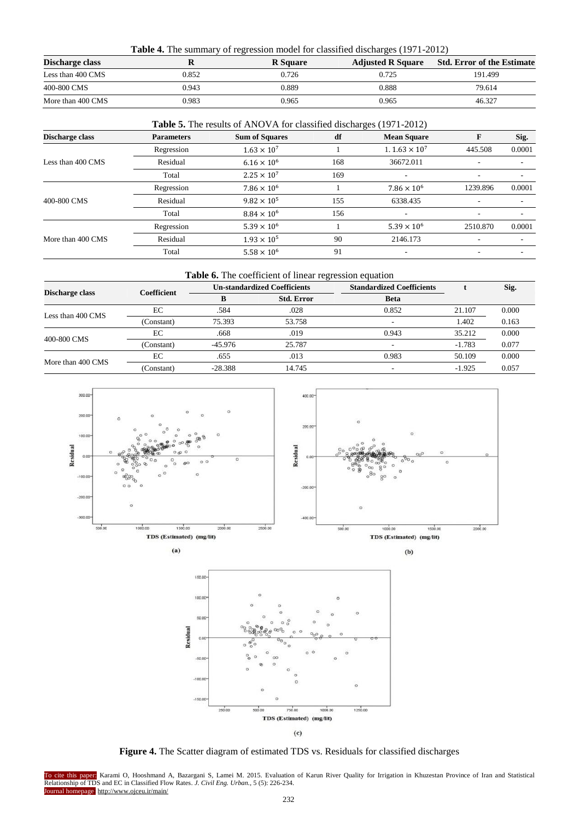| <b>Table 4.</b> The summary of regression model for classified discharges (1971-2012) |       |                 |                          |                                   |  |  |  |
|---------------------------------------------------------------------------------------|-------|-----------------|--------------------------|-----------------------------------|--|--|--|
| Discharge class                                                                       |       | <b>R</b> Square | <b>Adjusted R Square</b> | <b>Std. Error of the Estimate</b> |  |  |  |
| Less than 400 CMS                                                                     | 0.852 | 0.726           | 0.725                    | 191.499                           |  |  |  |
| 400-800 CMS                                                                           | 0.943 | 0.889           | 0.888                    | 79.614                            |  |  |  |
| More than 400 CMS                                                                     | 0.983 | 0.965           | 0.965                    | 46.327                            |  |  |  |

|                   |                   | <b>Table 5.</b> The results of ANOVA for classified discharges (1971-2012) |     |                                 |          |        |  |  |  |  |
|-------------------|-------------------|----------------------------------------------------------------------------|-----|---------------------------------|----------|--------|--|--|--|--|
| Discharge class   | <b>Parameters</b> | <b>Sum of Squares</b>                                                      | df  | <b>Mean Square</b>              | F        | Sig.   |  |  |  |  |
|                   | Regression        | $1.63 \times 10^{7}$                                                       |     | 1.1.63 $\times$ 10 <sup>7</sup> | 445.508  | 0.0001 |  |  |  |  |
| Less than 400 CMS | Residual          | $6.16 \times 10^{6}$                                                       | 168 | 36672.011                       | ٠        |        |  |  |  |  |
|                   | Total             | $2.25 \times 10^{7}$                                                       | 169 |                                 |          |        |  |  |  |  |
|                   | Regression        | $7.86 \times 10^{6}$                                                       |     | $7.86 \times 10^{6}$            | 1239.896 | 0.0001 |  |  |  |  |
| 400-800 CMS       | Residual          | $9.82 \times 10^{5}$                                                       | 155 | 6338.435                        |          |        |  |  |  |  |
|                   | Total             | $8.84 \times 10^{6}$                                                       | 156 |                                 |          |        |  |  |  |  |
|                   | Regression        | $5.39 \times 10^{6}$                                                       |     | $5.39 \times 10^{6}$            | 2510.870 | 0.0001 |  |  |  |  |
| More than 400 CMS | Residual          | $1.93 \times 10^{5}$                                                       | 90  | 2146.173                        |          |        |  |  |  |  |
|                   | Total             | $5.58 \times 10^{6}$                                                       | 91  |                                 |          |        |  |  |  |  |

| Table 6. The coefficient of linear regression equation |                    |           |                                                                |                                  |          |       |  |  |
|--------------------------------------------------------|--------------------|-----------|----------------------------------------------------------------|----------------------------------|----------|-------|--|--|
|                                                        | <b>Coefficient</b> |           |                                                                | <b>Standardized Coefficients</b> |          | Sig.  |  |  |
| Discharge class                                        |                    |           | <b>Std. Error</b>                                              | <b>Beta</b>                      |          |       |  |  |
| Less than 400 CMS                                      | EC                 | .584      | .028                                                           | 0.852                            | 21.107   | 0.000 |  |  |
|                                                        | (Constant)         | 75.393    | 53.758                                                         |                                  | 1.402    | 0.163 |  |  |
|                                                        | EC                 | .668      | .019                                                           | 0.943                            | 35.212   | 0.000 |  |  |
| 400-800 CMS                                            | (Constant)         | $-45.976$ | 25.787                                                         |                                  | $-1.783$ | 0.077 |  |  |
|                                                        | EC                 | .655      | <b>Un-standardized Coefficients</b><br>0.983<br>.013<br>14.745 | 50.109                           | 0.000    |       |  |  |
| More than 400 CMS                                      | (Constant)         | $-28.388$ |                                                                |                                  | $-1.925$ | 0.057 |  |  |



 $(a)$ 





**Figure 4.** The Scatter diagram of estimated TDS vs. Residuals for classified discharges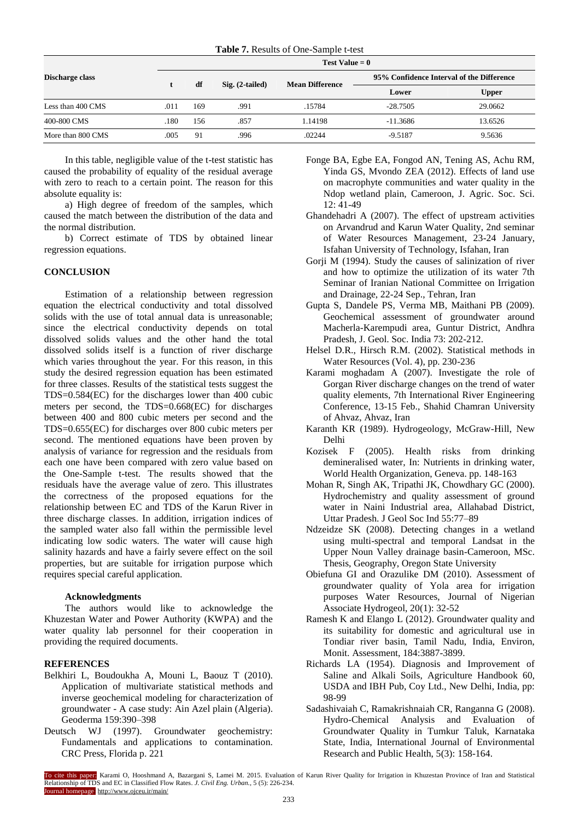|  |  | Table 7. Results of One-Sample t-test |  |
|--|--|---------------------------------------|--|
|--|--|---------------------------------------|--|

|                   |      | Test Value $= 0$        |                        |         |                                           |         |  |
|-------------------|------|-------------------------|------------------------|---------|-------------------------------------------|---------|--|
| Discharge class   |      | df<br>$Sig. (2-tailed)$ |                        |         | 95% Confidence Interval of the Difference |         |  |
|                   |      |                         | <b>Mean Difference</b> | Lower   | <b>Upper</b>                              |         |  |
| Less than 400 CMS | .011 | 169                     | .991                   | .15784  | $-28.7505$                                | 29.0662 |  |
| 400-800 CMS       | .180 | 156                     | .857                   | 1.14198 | $-11.3686$                                | 13.6526 |  |
| More than 800 CMS | .005 | 91                      | .996                   | .02244  | $-9.5187$                                 | 9.5636  |  |

In this table, negligible value of the t-test statistic has caused the probability of equality of the residual average with zero to reach to a certain point. The reason for this absolute equality is:

a) High degree of freedom of the samples, which caused the match between the distribution of the data and the normal distribution.

b) Correct estimate of TDS by obtained linear regression equations.

## **CONCLUSION**

Estimation of a relationship between regression equation the electrical conductivity and total dissolved solids with the use of total annual data is unreasonable; since the electrical conductivity depends on total dissolved solids values and the other hand the total dissolved solids itself is a function of river discharge which varies throughout the year. For this reason, in this study the desired regression equation has been estimated for three classes. Results of the statistical tests suggest the TDS=0.584(EC) for the discharges lower than 400 cubic meters per second, the TDS=0.668(EC) for discharges between 400 and 800 cubic meters per second and the TDS=0.655(EC) for discharges over 800 cubic meters per second. The mentioned equations have been proven by analysis of variance for regression and the residuals from each one have been compared with zero value based on the One-Sample t-test. The results showed that the residuals have the average value of zero. This illustrates the correctness of the proposed equations for the relationship between EC and TDS of the Karun River in three discharge classes. In addition, irrigation indices of the sampled water also fall within the permissible level indicating low sodic waters. The water will cause high salinity hazards and have a fairly severe effect on the soil properties, but are suitable for irrigation purpose which requires special careful application.

#### **Acknowledgments**

The authors would like to acknowledge the Khuzestan Water and Power Authority (KWPA) and the water quality lab personnel for their cooperation in providing the required documents.

#### **REFERENCES**

- Belkhiri L, Boudoukha A, Mouni L, Baouz T (2010). Application of multivariate statistical methods and inverse geochemical modeling for characterization of groundwater - A case study: Ain Azel plain (Algeria). Geoderma 159:390–398
- Deutsch WJ (1997). Groundwater geochemistry: Fundamentals and applications to contamination. CRC Press, Florida p. 221
- Fonge BA, Egbe EA, Fongod AN, Tening AS, Achu RM, Yinda GS, Mvondo ZEA (2012). Effects of land use on macrophyte communities and water quality in the Ndop wetland plain, Cameroon, J. Agric. Soc. Sci. 12: 41-49
- Ghandehadri A (2007). The effect of upstream activities on Arvandrud and Karun Water Quality, 2nd seminar of Water Resources Management, 23-24 January, Isfahan University of Technology, Isfahan, Iran
- Gorji M (1994). Study the causes of salinization of river and how to optimize the utilization of its water 7th Seminar of Iranian National Committee on Irrigation and Drainage, 22-24 Sep., Tehran, Iran
- Gupta S, Dandele PS, Verma MB, Maithani PB (2009). Geochemical assessment of groundwater around Macherla-Karempudi area, Guntur District, Andhra Pradesh, J. Geol. Soc. India 73: 202-212.
- Helsel D.R., Hirsch R.M. (2002). Statistical methods in Water Resources (Vol. 4), pp. 230-236
- Karami moghadam A (2007). Investigate the role of Gorgan River discharge changes on the trend of water quality elements, 7th International River Engineering Conference, 13-15 Feb., Shahid Chamran University of Ahvaz, Ahvaz, Iran
- Karanth KR (1989). Hydrogeology, McGraw-Hill, New Delhi
- Kozisek F (2005). Health risks from drinking demineralised water, In: Nutrients in drinking water, World Health Organization, Geneva. pp. 148-163
- Mohan R, Singh AK, Tripathi JK, Chowdhary GC (2000). Hydrochemistry and quality assessment of ground water in Naini Industrial area, Allahabad District, Uttar Pradesh. J Geol Soc Ind 55:77–89
- Ndzeidze SK (2008). Detecting changes in a wetland using multi-spectral and temporal Landsat in the Upper Noun Valley drainage basin-Cameroon, MSc. Thesis, Geography, Oregon State University
- Obiefuna GI and Orazulike DM (2010). Assessment of groundwater quality of Yola area for irrigation purposes Water Resources, Journal of Nigerian Associate Hydrogeol, 20(1): 32-52
- Ramesh K and Elango L (2012). Groundwater quality and its suitability for domestic and agricultural use in Tondiar river basin, Tamil Nadu, India, Environ, Monit. Assessment, 184:3887-3899.
- Richards LA (1954). Diagnosis and Improvement of Saline and Alkali Soils, Agriculture Handbook 60, USDA and IBH Pub, Coy Ltd., New Delhi, India, pp: 98-99
- Sadashivaiah C, Ramakrishnaiah CR, Ranganna G (2008). Hydro-Chemical Analysis and Evaluation of Groundwater Quality in Tumkur Taluk, Karnataka State, India, International Journal of Environmental Research and Public Health, 5(3): 158-164.

To cite this paper: Karami O, Hooshmand A, Bazargani S, Lamei M. 2015. Evaluation of Karun River Quality for Irrigation in Khuzestan Province of Iran and Statistical Relationship of TDS and EC in Classified Flow Rates. *J. Civil Eng. Urban.,* 5 (5): 226-234. Journal homepage: http://www.ojceu.ir/main/